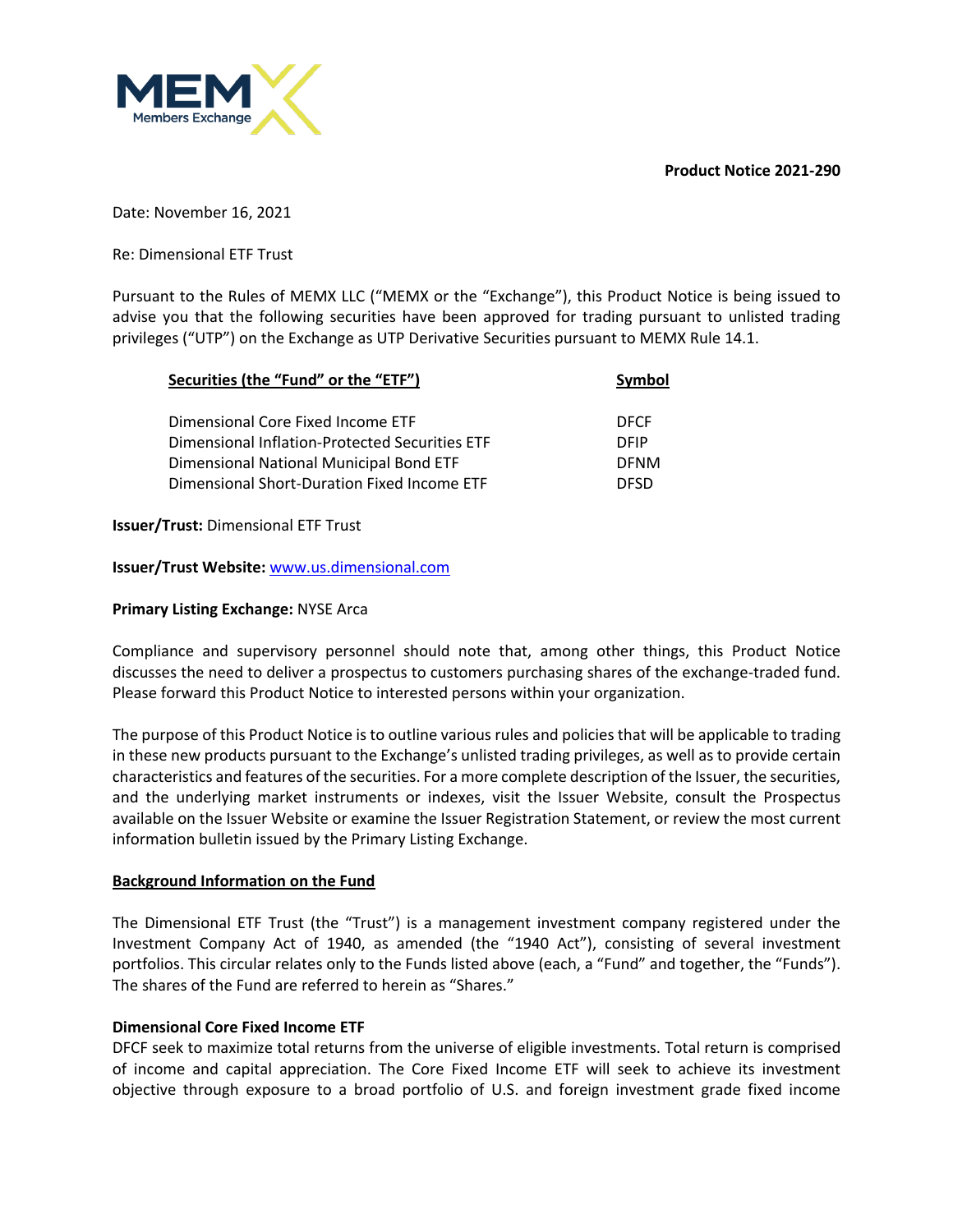**Product Notice 2021-290**



Date: November 16, 2021

Re: Dimensional ETF Trust

Pursuant to the Rules of MEMX LLC ("MEMX or the "Exchange"), this Product Notice is being issued to advise you that the following securities have been approved for trading pursuant to unlisted trading privileges ("UTP") on the Exchange as UTP Derivative Securities pursuant to MEMX Rule 14.1.

| Securities (the "Fund" or the "ETF")           | Symbol      |  |
|------------------------------------------------|-------------|--|
| Dimensional Core Fixed Income ETF              | <b>DFCF</b> |  |
| Dimensional Inflation-Protected Securities ETF | <b>DEIP</b> |  |
| Dimensional National Municipal Bond ETF        | <b>DFNM</b> |  |
| Dimensional Short-Duration Fixed Income ETF    | DESD        |  |

**Issuer/Trust:** Dimensional ETF Trust

**Issuer/Trust Website:** www.us.dimensional.com

#### **Primary Listing Exchange:** NYSE Arca

Compliance and supervisory personnel should note that, among other things, this Product Notice discusses the need to deliver a prospectus to customers purchasing shares of the exchange-traded fund. Please forward this Product Notice to interested persons within your organization.

The purpose of this Product Notice is to outline various rules and policies that will be applicable to trading in these new products pursuant to the Exchange's unlisted trading privileges, as well as to provide certain characteristics and features of the securities. For a more complete description of the Issuer, the securities, and the underlying market instruments or indexes, visit the Issuer Website, consult the Prospectus available on the Issuer Website or examine the Issuer Registration Statement, or review the most current information bulletin issued by the Primary Listing Exchange.

## **Background Information on the Fund**

The Dimensional ETF Trust (the "Trust") is a management investment company registered under the Investment Company Act of 1940, as amended (the "1940 Act"), consisting of several investment portfolios. This circular relates only to the Funds listed above (each, a "Fund" and together, the "Funds"). The shares of the Fund are referred to herein as "Shares."

## **Dimensional Core Fixed Income ETF**

DFCF seek to maximize total returns from the universe of eligible investments. Total return is comprised of income and capital appreciation. The Core Fixed Income ETF will seek to achieve its investment objective through exposure to a broad portfolio of U.S. and foreign investment grade fixed income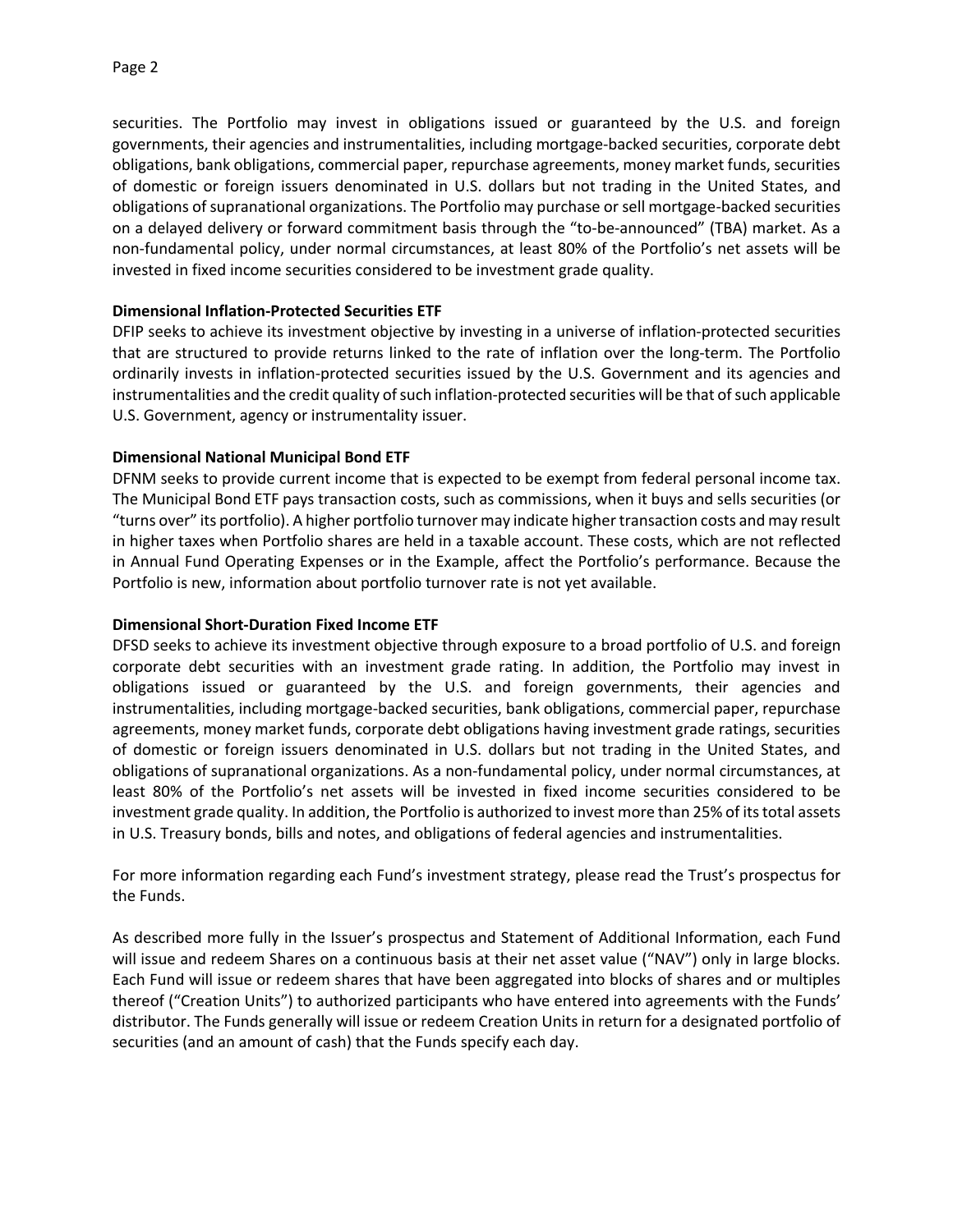securities. The Portfolio may invest in obligations issued or guaranteed by the U.S. and foreign governments, their agencies and instrumentalities, including mortgage-backed securities, corporate debt obligations, bank obligations, commercial paper, repurchase agreements, money market funds, securities of domestic or foreign issuers denominated in U.S. dollars but not trading in the United States, and obligations of supranational organizations. The Portfolio may purchase or sell mortgage-backed securities on a delayed delivery or forward commitment basis through the "to-be-announced" (TBA) market. As a non-fundamental policy, under normal circumstances, at least 80% of the Portfolio's net assets will be invested in fixed income securities considered to be investment grade quality.

## **Dimensional Inflation-Protected Securities ETF**

DFIP seeks to achieve its investment objective by investing in a universe of inflation-protected securities that are structured to provide returns linked to the rate of inflation over the long-term. The Portfolio ordinarily invests in inflation-protected securities issued by the U.S. Government and its agencies and instrumentalities and the credit quality of such inflation-protected securities will be that of such applicable U.S. Government, agency or instrumentality issuer.

#### **Dimensional National Municipal Bond ETF**

DFNM seeks to provide current income that is expected to be exempt from federal personal income tax. The Municipal Bond ETF pays transaction costs, such as commissions, when it buys and sells securities (or "turns over" its portfolio). A higher portfolio turnover may indicate higher transaction costs and may result in higher taxes when Portfolio shares are held in a taxable account. These costs, which are not reflected in Annual Fund Operating Expenses or in the Example, affect the Portfolio's performance. Because the Portfolio is new, information about portfolio turnover rate is not yet available.

#### **Dimensional Short-Duration Fixed Income ETF**

DFSD seeks to achieve its investment objective through exposure to a broad portfolio of U.S. and foreign corporate debt securities with an investment grade rating. In addition, the Portfolio may invest in obligations issued or guaranteed by the U.S. and foreign governments, their agencies and instrumentalities, including mortgage-backed securities, bank obligations, commercial paper, repurchase agreements, money market funds, corporate debt obligations having investment grade ratings, securities of domestic or foreign issuers denominated in U.S. dollars but not trading in the United States, and obligations of supranational organizations. As a non-fundamental policy, under normal circumstances, at least 80% of the Portfolio's net assets will be invested in fixed income securities considered to be investment grade quality. In addition, the Portfolio is authorized to invest more than 25% of its total assets in U.S. Treasury bonds, bills and notes, and obligations of federal agencies and instrumentalities.

For more information regarding each Fund's investment strategy, please read the Trust's prospectus for the Funds.

As described more fully in the Issuer's prospectus and Statement of Additional Information, each Fund will issue and redeem Shares on a continuous basis at their net asset value ("NAV") only in large blocks. Each Fund will issue or redeem shares that have been aggregated into blocks of shares and or multiples thereof ("Creation Units") to authorized participants who have entered into agreements with the Funds' distributor. The Funds generally will issue or redeem Creation Units in return for a designated portfolio of securities (and an amount of cash) that the Funds specify each day.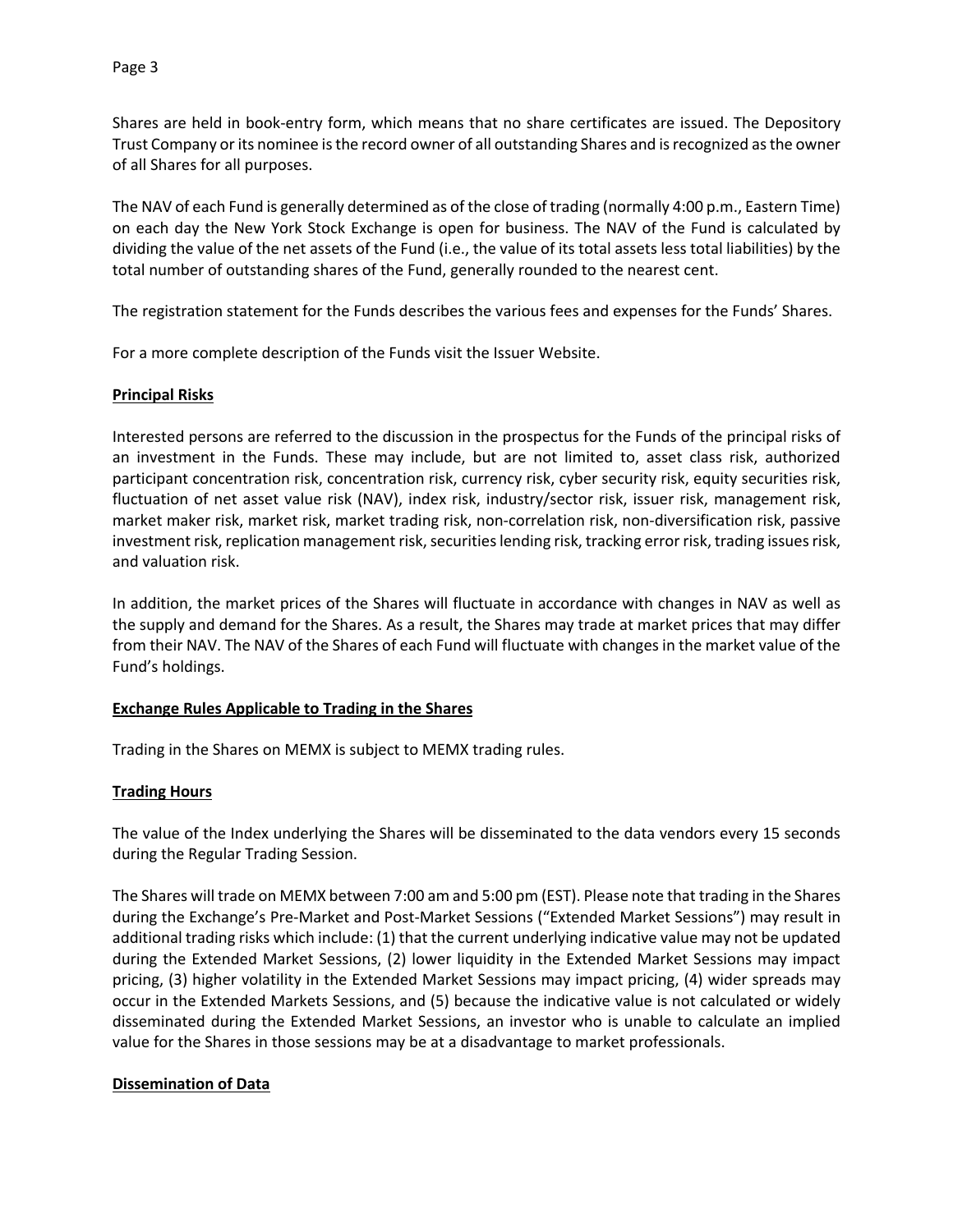Shares are held in book-entry form, which means that no share certificates are issued. The Depository Trust Company or its nominee is the record owner of all outstanding Shares and is recognized as the owner of all Shares for all purposes.

The NAV of each Fund is generally determined as of the close of trading (normally 4:00 p.m., Eastern Time) on each day the New York Stock Exchange is open for business. The NAV of the Fund is calculated by dividing the value of the net assets of the Fund (i.e., the value of its total assets less total liabilities) by the total number of outstanding shares of the Fund, generally rounded to the nearest cent.

The registration statement for the Funds describes the various fees and expenses for the Funds' Shares.

For a more complete description of the Funds visit the Issuer Website.

#### **Principal Risks**

Interested persons are referred to the discussion in the prospectus for the Funds of the principal risks of an investment in the Funds. These may include, but are not limited to, asset class risk, authorized participant concentration risk, concentration risk, currency risk, cyber security risk, equity securities risk, fluctuation of net asset value risk (NAV), index risk, industry/sector risk, issuer risk, management risk, market maker risk, market risk, market trading risk, non-correlation risk, non-diversification risk, passive investment risk, replication management risk, securities lending risk, tracking error risk, trading issues risk, and valuation risk.

In addition, the market prices of the Shares will fluctuate in accordance with changes in NAV as well as the supply and demand for the Shares. As a result, the Shares may trade at market prices that may differ from their NAV. The NAV of the Shares of each Fund will fluctuate with changes in the market value of the Fund's holdings.

#### **Exchange Rules Applicable to Trading in the Shares**

Trading in the Shares on MEMX is subject to MEMX trading rules.

## **Trading Hours**

The value of the Index underlying the Shares will be disseminated to the data vendors every 15 seconds during the Regular Trading Session.

The Shares will trade on MEMX between 7:00 am and 5:00 pm (EST). Please note that trading in the Shares during the Exchange's Pre-Market and Post-Market Sessions ("Extended Market Sessions") may result in additional trading risks which include: (1) that the current underlying indicative value may not be updated during the Extended Market Sessions, (2) lower liquidity in the Extended Market Sessions may impact pricing, (3) higher volatility in the Extended Market Sessions may impact pricing, (4) wider spreads may occur in the Extended Markets Sessions, and (5) because the indicative value is not calculated or widely disseminated during the Extended Market Sessions, an investor who is unable to calculate an implied value for the Shares in those sessions may be at a disadvantage to market professionals.

#### **Dissemination of Data**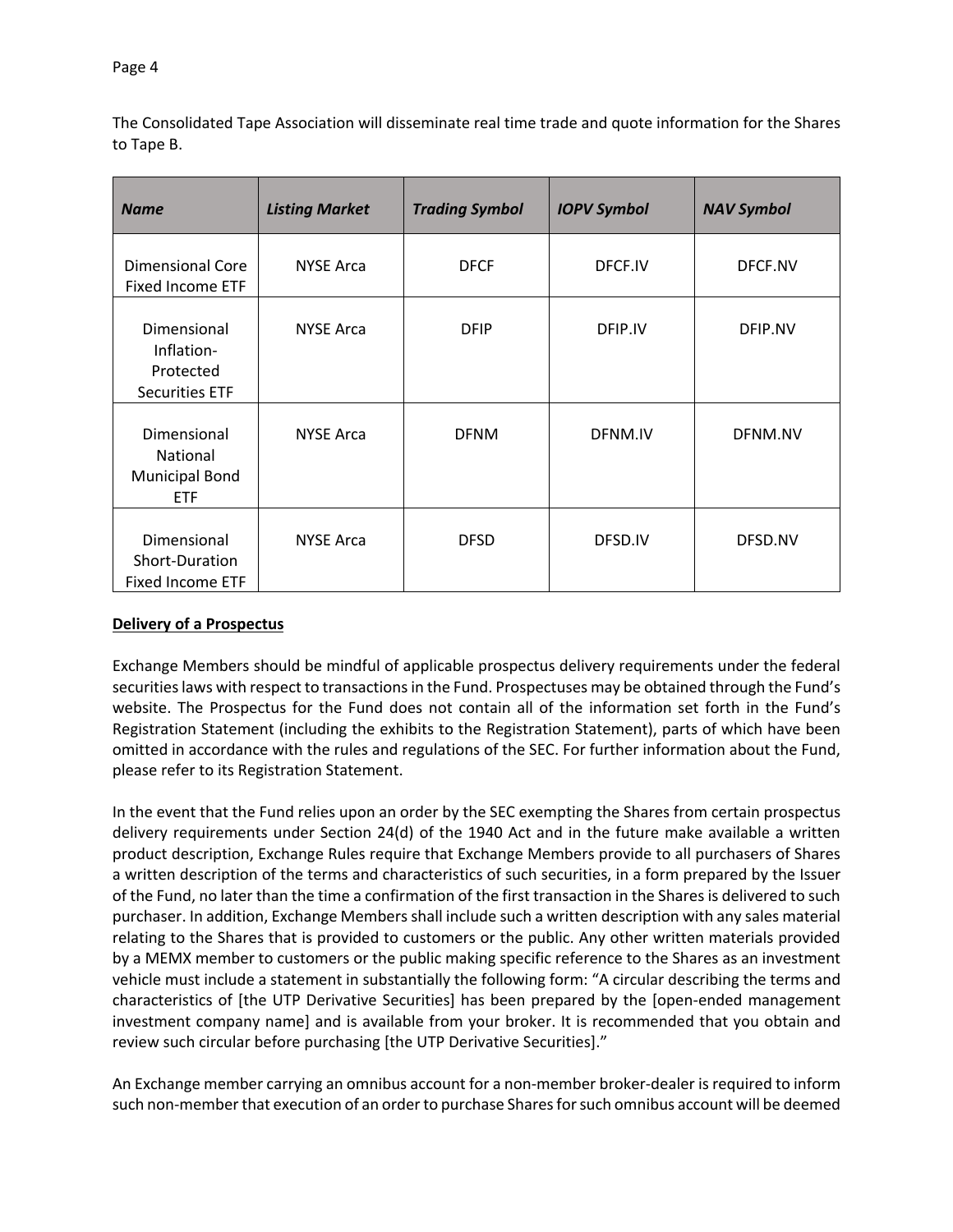The Consolidated Tape Association will disseminate real time trade and quote information for the Shares to Tape B.

| <b>Name</b>                                                     | <b>Listing Market</b> | <b>Trading Symbol</b> | <b>IOPV Symbol</b> | <b>NAV Symbol</b> |
|-----------------------------------------------------------------|-----------------------|-----------------------|--------------------|-------------------|
| <b>Dimensional Core</b><br><b>Fixed Income ETF</b>              | <b>NYSE Arca</b>      | <b>DFCF</b>           | DFCF.IV            | DFCF.NV           |
| Dimensional<br>Inflation-<br>Protected<br><b>Securities ETF</b> | <b>NYSE Arca</b>      | <b>DFIP</b>           | DFIP.IV            | DFIP.NV           |
| Dimensional<br>National<br><b>Municipal Bond</b><br>ETF         | <b>NYSE Arca</b>      | <b>DFNM</b>           | DFNM.IV            | DFNM.NV           |
| Dimensional<br>Short-Duration<br><b>Fixed Income ETF</b>        | <b>NYSE Arca</b>      | <b>DFSD</b>           | DFSD.IV            | DFSD.NV           |

# **Delivery of a Prospectus**

Exchange Members should be mindful of applicable prospectus delivery requirements under the federal securities laws with respect to transactions in the Fund. Prospectuses may be obtained through the Fund's website. The Prospectus for the Fund does not contain all of the information set forth in the Fund's Registration Statement (including the exhibits to the Registration Statement), parts of which have been omitted in accordance with the rules and regulations of the SEC. For further information about the Fund, please refer to its Registration Statement.

In the event that the Fund relies upon an order by the SEC exempting the Shares from certain prospectus delivery requirements under Section 24(d) of the 1940 Act and in the future make available a written product description, Exchange Rules require that Exchange Members provide to all purchasers of Shares a written description of the terms and characteristics of such securities, in a form prepared by the Issuer of the Fund, no later than the time a confirmation of the first transaction in the Shares is delivered to such purchaser. In addition, Exchange Members shall include such a written description with any sales material relating to the Shares that is provided to customers or the public. Any other written materials provided by a MEMX member to customers or the public making specific reference to the Shares as an investment vehicle must include a statement in substantially the following form: "A circular describing the terms and characteristics of [the UTP Derivative Securities] has been prepared by the [open-ended management investment company name] and is available from your broker. It is recommended that you obtain and review such circular before purchasing [the UTP Derivative Securities]."

An Exchange member carrying an omnibus account for a non-member broker-dealer is required to inform such non-member that execution of an order to purchase Shares for such omnibus account will be deemed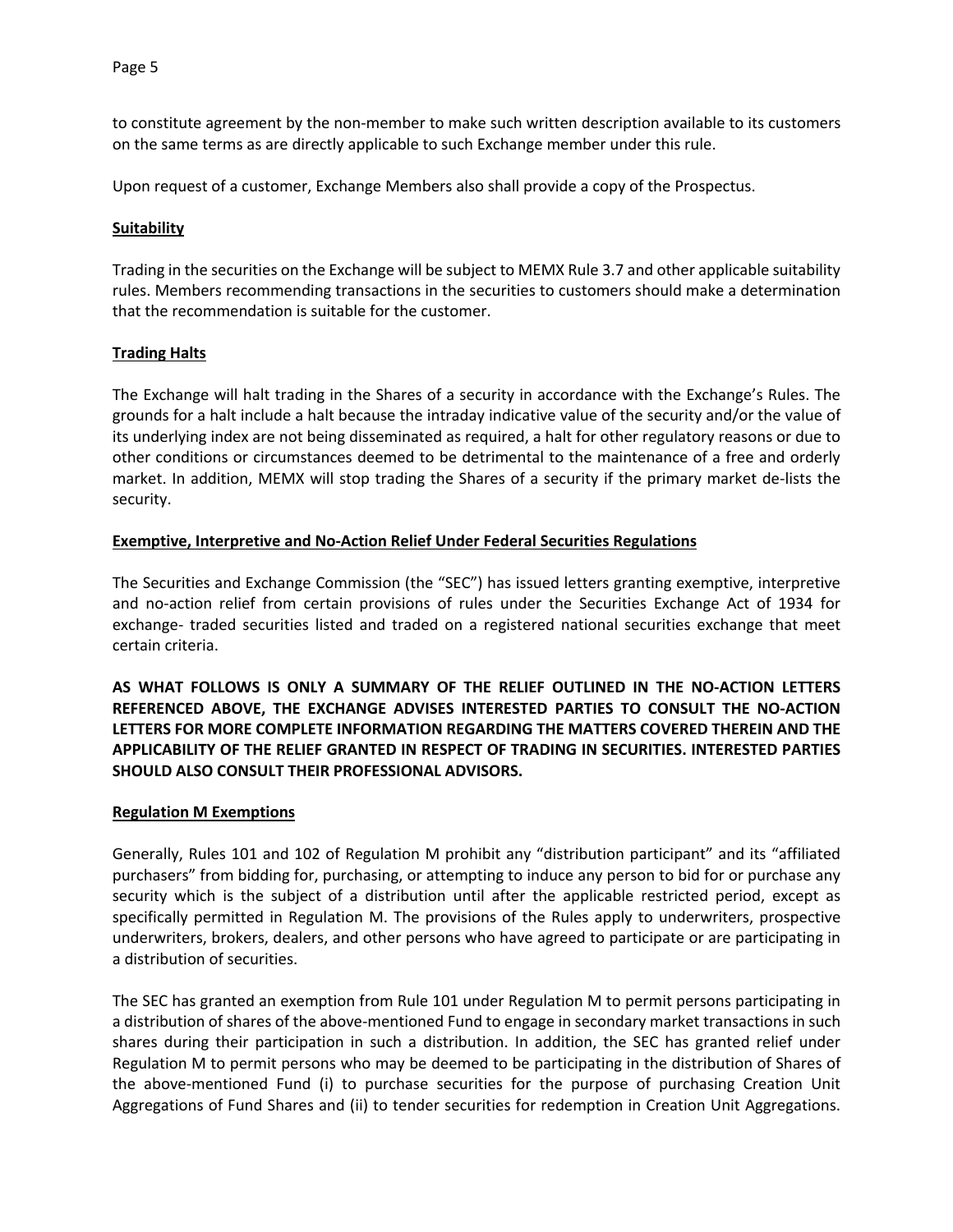to constitute agreement by the non-member to make such written description available to its customers on the same terms as are directly applicable to such Exchange member under this rule.

Upon request of a customer, Exchange Members also shall provide a copy of the Prospectus.

## **Suitability**

Trading in the securities on the Exchange will be subject to MEMX Rule 3.7 and other applicable suitability rules. Members recommending transactions in the securities to customers should make a determination that the recommendation is suitable for the customer.

#### **Trading Halts**

The Exchange will halt trading in the Shares of a security in accordance with the Exchange's Rules. The grounds for a halt include a halt because the intraday indicative value of the security and/or the value of its underlying index are not being disseminated as required, a halt for other regulatory reasons or due to other conditions or circumstances deemed to be detrimental to the maintenance of a free and orderly market. In addition, MEMX will stop trading the Shares of a security if the primary market de-lists the security.

#### **Exemptive, Interpretive and No-Action Relief Under Federal Securities Regulations**

The Securities and Exchange Commission (the "SEC") has issued letters granting exemptive, interpretive and no-action relief from certain provisions of rules under the Securities Exchange Act of 1934 for exchange- traded securities listed and traded on a registered national securities exchange that meet certain criteria.

**AS WHAT FOLLOWS IS ONLY A SUMMARY OF THE RELIEF OUTLINED IN THE NO-ACTION LETTERS REFERENCED ABOVE, THE EXCHANGE ADVISES INTERESTED PARTIES TO CONSULT THE NO-ACTION LETTERS FOR MORE COMPLETE INFORMATION REGARDING THE MATTERS COVERED THEREIN AND THE APPLICABILITY OF THE RELIEF GRANTED IN RESPECT OF TRADING IN SECURITIES. INTERESTED PARTIES SHOULD ALSO CONSULT THEIR PROFESSIONAL ADVISORS.**

## **Regulation M Exemptions**

Generally, Rules 101 and 102 of Regulation M prohibit any "distribution participant" and its "affiliated purchasers" from bidding for, purchasing, or attempting to induce any person to bid for or purchase any security which is the subject of a distribution until after the applicable restricted period, except as specifically permitted in Regulation M. The provisions of the Rules apply to underwriters, prospective underwriters, brokers, dealers, and other persons who have agreed to participate or are participating in a distribution of securities.

The SEC has granted an exemption from Rule 101 under Regulation M to permit persons participating in a distribution of shares of the above-mentioned Fund to engage in secondary market transactions in such shares during their participation in such a distribution. In addition, the SEC has granted relief under Regulation M to permit persons who may be deemed to be participating in the distribution of Shares of the above-mentioned Fund (i) to purchase securities for the purpose of purchasing Creation Unit Aggregations of Fund Shares and (ii) to tender securities for redemption in Creation Unit Aggregations.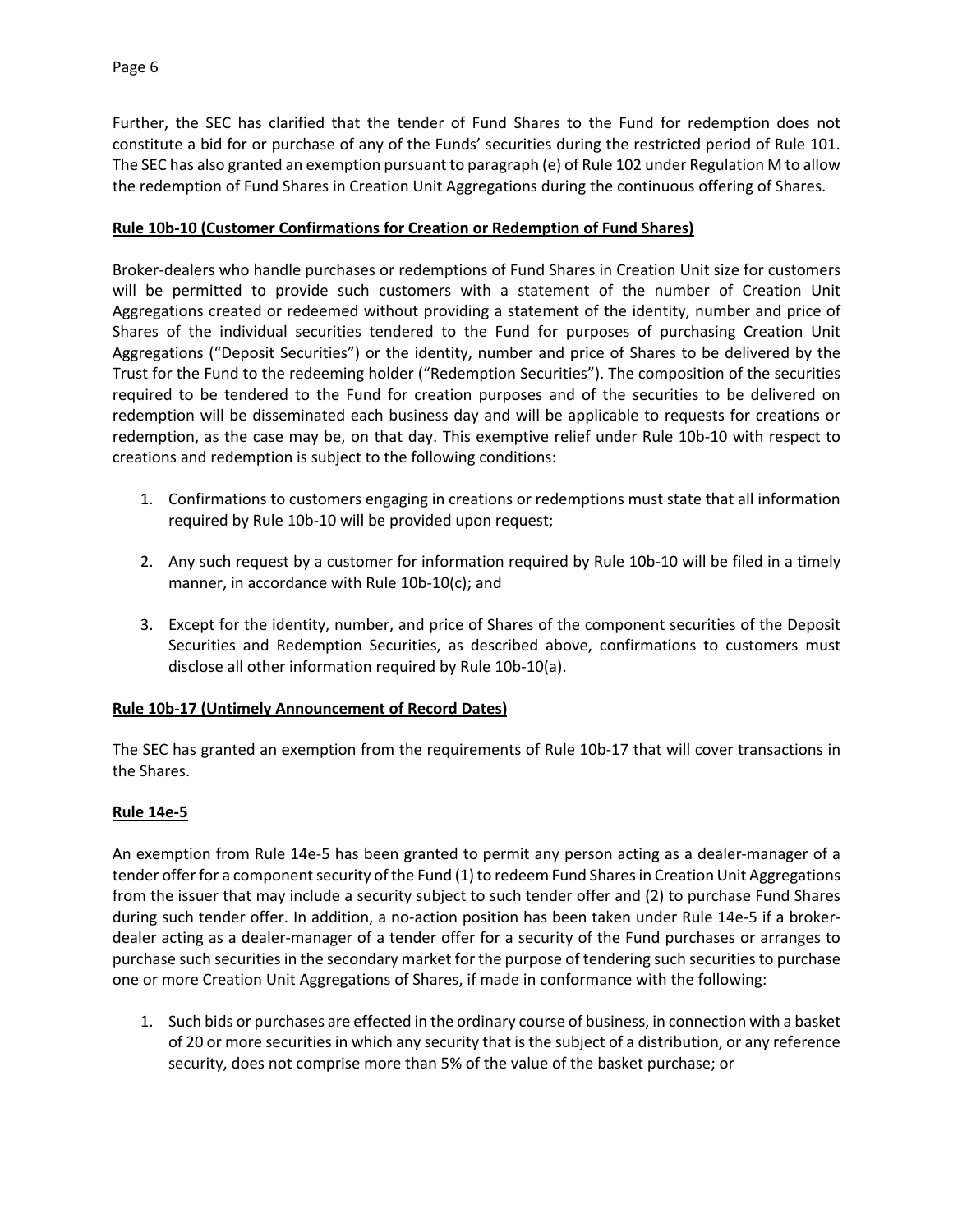Further, the SEC has clarified that the tender of Fund Shares to the Fund for redemption does not constitute a bid for or purchase of any of the Funds' securities during the restricted period of Rule 101. The SEC has also granted an exemption pursuant to paragraph (e) of Rule 102 under Regulation M to allow the redemption of Fund Shares in Creation Unit Aggregations during the continuous offering of Shares.

# **Rule 10b-10 (Customer Confirmations for Creation or Redemption of Fund Shares)**

Broker-dealers who handle purchases or redemptions of Fund Shares in Creation Unit size for customers will be permitted to provide such customers with a statement of the number of Creation Unit Aggregations created or redeemed without providing a statement of the identity, number and price of Shares of the individual securities tendered to the Fund for purposes of purchasing Creation Unit Aggregations ("Deposit Securities") or the identity, number and price of Shares to be delivered by the Trust for the Fund to the redeeming holder ("Redemption Securities"). The composition of the securities required to be tendered to the Fund for creation purposes and of the securities to be delivered on redemption will be disseminated each business day and will be applicable to requests for creations or redemption, as the case may be, on that day. This exemptive relief under Rule 10b-10 with respect to creations and redemption is subject to the following conditions:

- 1. Confirmations to customers engaging in creations or redemptions must state that all information required by Rule 10b-10 will be provided upon request;
- 2. Any such request by a customer for information required by Rule 10b-10 will be filed in a timely manner, in accordance with Rule 10b-10(c); and
- 3. Except for the identity, number, and price of Shares of the component securities of the Deposit Securities and Redemption Securities, as described above, confirmations to customers must disclose all other information required by Rule 10b-10(a).

## **Rule 10b-17 (Untimely Announcement of Record Dates)**

The SEC has granted an exemption from the requirements of Rule 10b-17 that will cover transactions in the Shares.

## **Rule 14e-5**

An exemption from Rule 14e-5 has been granted to permit any person acting as a dealer-manager of a tender offer for a component security of the Fund (1) to redeem Fund Shares in Creation Unit Aggregations from the issuer that may include a security subject to such tender offer and (2) to purchase Fund Shares during such tender offer. In addition, a no-action position has been taken under Rule 14e-5 if a brokerdealer acting as a dealer-manager of a tender offer for a security of the Fund purchases or arranges to purchase such securities in the secondary market for the purpose of tendering such securities to purchase one or more Creation Unit Aggregations of Shares, if made in conformance with the following:

1. Such bids or purchases are effected in the ordinary course of business, in connection with a basket of 20 or more securities in which any security that is the subject of a distribution, or any reference security, does not comprise more than 5% of the value of the basket purchase; or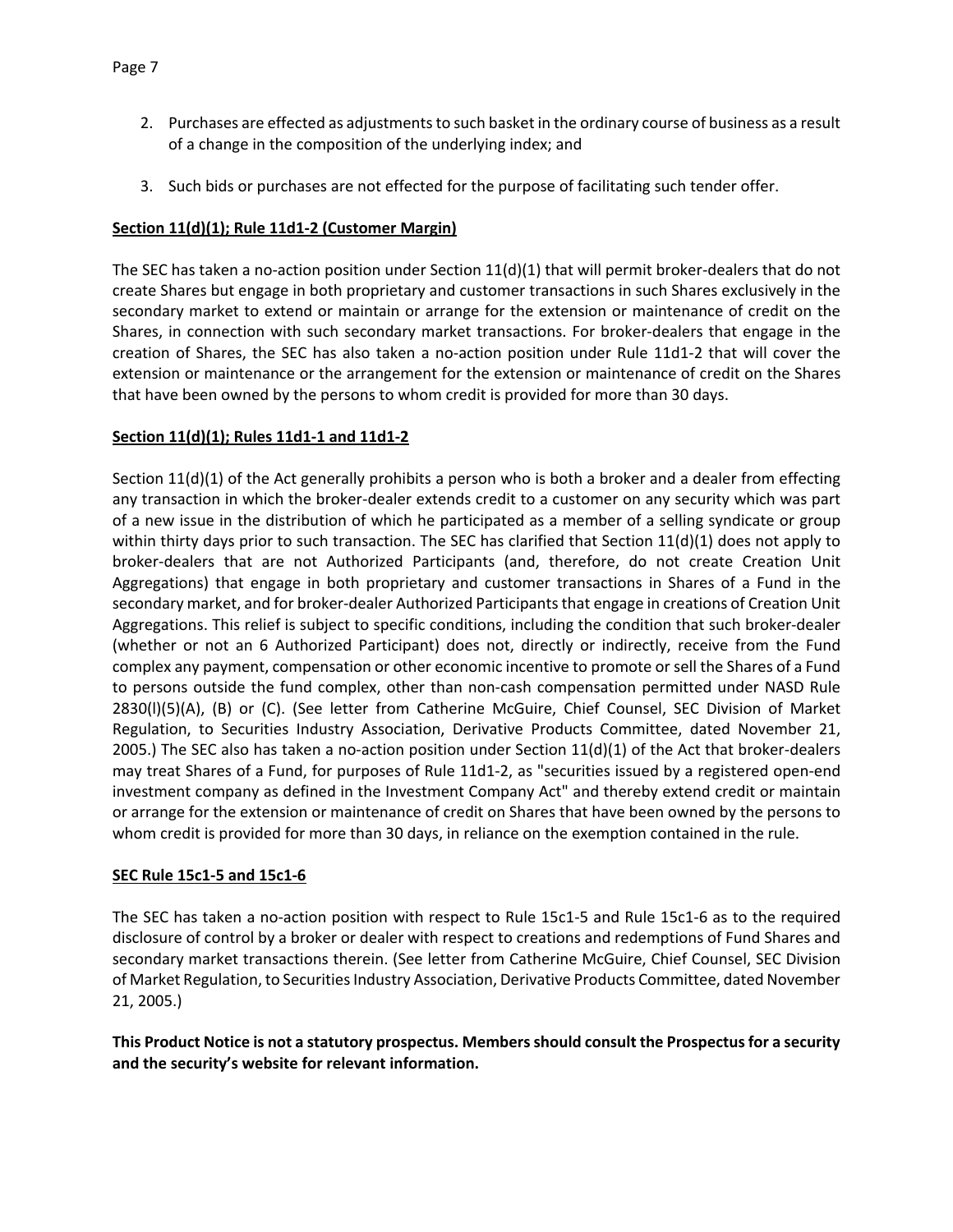- 2. Purchases are effected as adjustments to such basket in the ordinary course of business as a result of a change in the composition of the underlying index; and
- 3. Such bids or purchases are not effected for the purpose of facilitating such tender offer.

# **Section 11(d)(1); Rule 11d1-2 (Customer Margin)**

The SEC has taken a no-action position under Section 11(d)(1) that will permit broker-dealers that do not create Shares but engage in both proprietary and customer transactions in such Shares exclusively in the secondary market to extend or maintain or arrange for the extension or maintenance of credit on the Shares, in connection with such secondary market transactions. For broker-dealers that engage in the creation of Shares, the SEC has also taken a no-action position under Rule 11d1-2 that will cover the extension or maintenance or the arrangement for the extension or maintenance of credit on the Shares that have been owned by the persons to whom credit is provided for more than 30 days.

## **Section 11(d)(1); Rules 11d1-1 and 11d1-2**

Section 11(d)(1) of the Act generally prohibits a person who is both a broker and a dealer from effecting any transaction in which the broker-dealer extends credit to a customer on any security which was part of a new issue in the distribution of which he participated as a member of a selling syndicate or group within thirty days prior to such transaction. The SEC has clarified that Section 11(d)(1) does not apply to broker-dealers that are not Authorized Participants (and, therefore, do not create Creation Unit Aggregations) that engage in both proprietary and customer transactions in Shares of a Fund in the secondary market, and for broker-dealer Authorized Participants that engage in creations of Creation Unit Aggregations. This relief is subject to specific conditions, including the condition that such broker-dealer (whether or not an 6 Authorized Participant) does not, directly or indirectly, receive from the Fund complex any payment, compensation or other economic incentive to promote or sell the Shares of a Fund to persons outside the fund complex, other than non-cash compensation permitted under NASD Rule 2830(l)(5)(A), (B) or (C). (See letter from Catherine McGuire, Chief Counsel, SEC Division of Market Regulation, to Securities Industry Association, Derivative Products Committee, dated November 21, 2005.) The SEC also has taken a no-action position under Section  $11(d)(1)$  of the Act that broker-dealers may treat Shares of a Fund, for purposes of Rule 11d1-2, as "securities issued by a registered open-end investment company as defined in the Investment Company Act" and thereby extend credit or maintain or arrange for the extension or maintenance of credit on Shares that have been owned by the persons to whom credit is provided for more than 30 days, in reliance on the exemption contained in the rule.

## **SEC Rule 15c1-5 and 15c1-6**

The SEC has taken a no-action position with respect to Rule 15c1-5 and Rule 15c1-6 as to the required disclosure of control by a broker or dealer with respect to creations and redemptions of Fund Shares and secondary market transactions therein. (See letter from Catherine McGuire, Chief Counsel, SEC Division of Market Regulation, to Securities Industry Association, Derivative Products Committee, dated November 21, 2005.)

**This Product Notice is not a statutory prospectus. Members should consult the Prospectus for a security and the security's website for relevant information.**